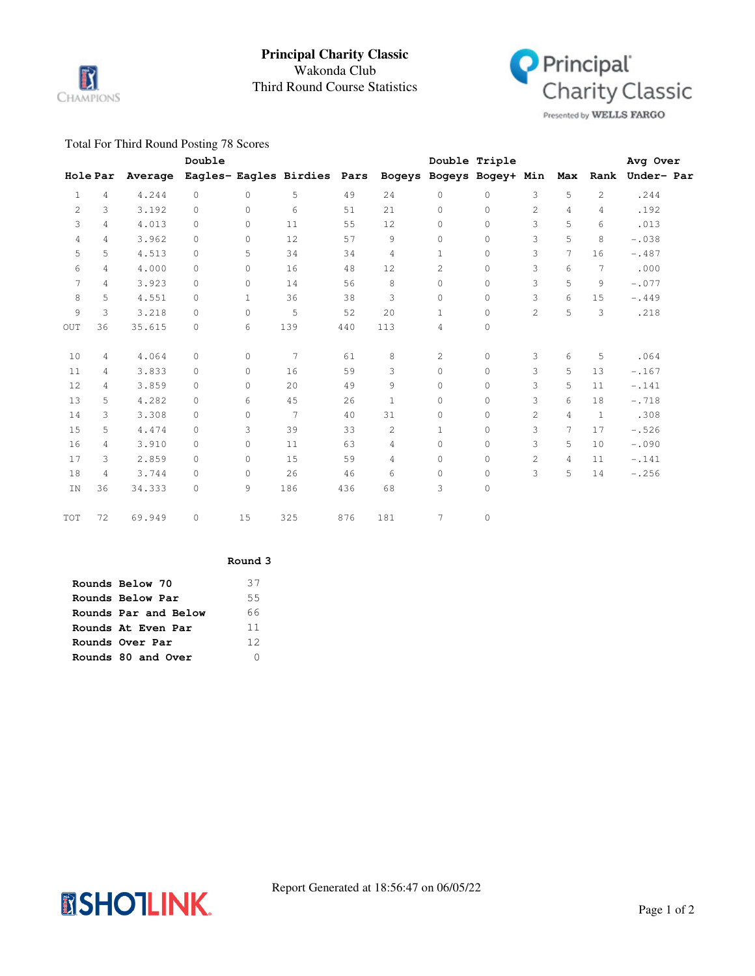

# Third Round Course Statistics Wakonda Club **Principal Charity Classic**



Presented by WELLS FARGO

## Total For Third Round Posting 78 Scores

|              |                 |         | Double   |              |                             |     |                |                          | Double Triple |                |   |                | Avg Over            |  |
|--------------|-----------------|---------|----------|--------------|-----------------------------|-----|----------------|--------------------------|---------------|----------------|---|----------------|---------------------|--|
|              | <b>Hole Par</b> | Average |          |              | Eagles- Eagles Birdies Pars |     |                | Bogeys Bogeys Bogey+ Min |               |                |   |                | Max Rank Under- Par |  |
| $\mathbf{1}$ | $\overline{4}$  | 4.244   | $\circ$  | $\circ$      | 5                           | 49  | 24             | $\circ$                  | $\circ$       | 3              | 5 | $\overline{c}$ | .244                |  |
| 2            | 3               | 3.192   | $\Omega$ | $\Omega$     | 6                           | 51  | 21             | $\Omega$                 | $\circ$       | 2              | 4 | 4              | .192                |  |
| 3            | 4               | 4.013   | $\circ$  | $\circ$      | 11                          | 55  | 12             | $\circ$                  | $\circ$       | 3              | 5 | 6              | .013                |  |
| 4            | 4               | 3.962   | $\circ$  | $\circ$      | 12                          | 57  | 9              | $\circ$                  | $\mathbb O$   | 3              | 5 | 8              | $-.038$             |  |
| 5            | 5               | 4.513   | $\Omega$ | 5            | 34                          | 34  | 4              | $\mathbf{1}$             | $\mathbf 0$   | 3              | 7 | 16             | $-.487$             |  |
| 6            | 4               | 4.000   | $\circ$  | $\circ$      | 16                          | 48  | 12             | 2                        | $\circ$       | 3              | 6 | 7              | .000                |  |
| 7            | 4               | 3.923   | $\Omega$ | $\circ$      | 14                          | 56  | 8              | 0                        | $\circ$       | 3              | 5 | 9              | $-.077$             |  |
| 8            | 5               | 4.551   | 0        | $\mathbf{1}$ | 36                          | 38  | 3              | 0                        | $\circ$       | 3              | 6 | 15             | $-.449$             |  |
| 9            | 3               | 3.218   | $\Omega$ | $\circ$      | 5                           | 52  | 20             | 1                        | $\circ$       | $\overline{c}$ | 5 | 3              | .218                |  |
| <b>OUT</b>   | 36              | 35.615  | 0        | 6            | 139                         | 440 | 113            | 4                        | 0             |                |   |                |                     |  |
| 10           | 4               | 4.064   | $\circ$  | $\circ$      | 7                           | 61  | 8              | 2                        | $\circ$       | 3              | 6 | 5              | .064                |  |
| 11           | 4               | 3.833   | $\circ$  | $\circ$      | 16                          | 59  | 3              | $\circ$                  | $\circ$       | 3              | 5 | 13             | $-.167$             |  |
| 12           | 4               | 3.859   | $\Omega$ | $\Omega$     | 20                          | 49  | 9              | $\Omega$                 | $\circ$       | 3              | 5 | 11             | $-.141$             |  |
| 13           | 5               | 4.282   | $\Omega$ | 6            | 45                          | 26  | $\mathbf{1}$   | $\Omega$                 | $\circ$       | 3              | 6 | 18             | $-.718$             |  |
| 14           | 3               | 3.308   | $\Omega$ | $\circ$      | 7                           | 40  | 31             | $\circ$                  | $\mathbb O$   | $\overline{c}$ | 4 | $\mathbf{1}$   | .308                |  |
| 15           | 5               | 4.474   | 0        | 3            | 39                          | 33  | $\overline{c}$ | $\mathbf{1}$             | $\circ$       | 3              | 7 | 17             | $-.526$             |  |
| 16           | $\overline{4}$  | 3.910   | $\circ$  | $\circ$      | 11                          | 63  | 4              | $\circ$                  | $\circ$       | 3              | 5 | 10             | $-.090$             |  |
| 17           | 3               | 2.859   | $\circ$  | $\circ$      | 15                          | 59  | 4              | $\circ$                  | $\circ$       | $\overline{c}$ | 4 | 11             | $-.141$             |  |
| 18           | 4               | 3.744   | $\circ$  | $\circ$      | 26                          | 46  | 6              | $\circ$                  | $\circ$       | 3              | 5 | 14             | $-.256$             |  |
| IN           | 36              | 34.333  | 0        | 9            | 186                         | 436 | 68             | 3                        | $\circ$       |                |   |                |                     |  |
| TOT          | 72              | 69.949  | 0        | 15           | 325                         | 876 | 181            | $\overline{7}$           | $\circ$       |                |   |                |                     |  |
|              |                 |         |          |              |                             |     |                |                          |               |                |   |                |                     |  |

#### **Round 3**

| Rounds Below 70      | 37 |
|----------------------|----|
| Rounds Below Par     | 55 |
| Rounds Par and Below | 66 |
| Rounds At Even Par   | 11 |
| Rounds Over Par      | 12 |
| Rounds 80 and Over   |    |